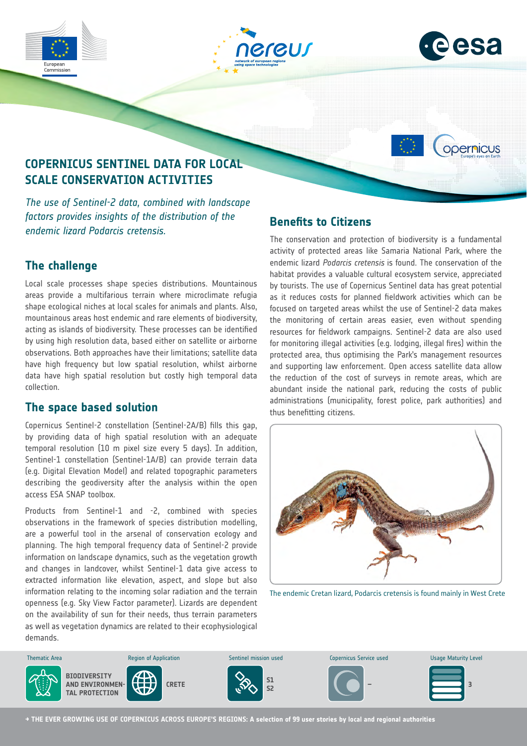







# **COPERNICUS SENTINEL DATA FOR LOCAL SCALE CONSERVATION ACTIVITIES**

*The use of Sentinel-2 data, combined with landscape factors provides insights of the distribution of the endemic lizard Podarcis cretensis.*

## **The challenge**

Local scale processes shape species distributions. Mountainous areas provide a multifarious terrain where microclimate refugia shape ecological niches at local scales for animals and plants. Also, mountainous areas host endemic and rare elements of biodiversity, acting as islands of biodiversity. These processes can be identified by using high resolution data, based either on satellite or airborne observations. Both approaches have their limitations; satellite data have high frequency but low spatial resolution, whilst airborne data have high spatial resolution but costly high temporal data collection.

#### **The space based solution**

Copernicus Sentinel-2 constellation (Sentinel-2A/B) fills this gap, by providing data of high spatial resolution with an adequate temporal resolution (10 m pixel size every 5 days). In addition, Sentinel-1 constellation (Sentinel-1A/B) can provide terrain data (e.g. Digital Elevation Model) and related topographic parameters describing the geodiversity after the analysis within the open access ESA SNAP toolbox.

Products from Sentinel-1 and -2, combined with species observations in the framework of species distribution modelling, are a powerful tool in the arsenal of conservation ecology and planning. The high temporal frequency data of Sentinel-2 provide information on landscape dynamics, such as the vegetation growth and changes in landcover, whilst Sentinel-1 data give access to extracted information like elevation, aspect, and slope but also information relating to the incoming solar radiation and the terrain openness (e.g. Sky View Factor parameter). Lizards are dependent on the availability of sun for their needs, thus terrain parameters as well as vegetation dynamics are related to their ecophysiological demands.

## **Benefits to Citizens**

The conservation and protection of biodiversity is a fundamental activity of protected areas like Samaria National Park, where the endemic lizard *Podarcis cretensis* is found. The conservation of the habitat provides a valuable cultural ecosystem service, appreciated by tourists. The use of Copernicus Sentinel data has great potential as it reduces costs for planned fieldwork activities which can be focused on targeted areas whilst the use of Sentinel-2 data makes the monitoring of certain areas easier, even without spending resources for fieldwork campaigns. Sentinel-2 data are also used for monitoring illegal activities (e.g. lodging, illegal fires) within the protected area, thus optimising the Park's management resources and supporting law enforcement. Open access satellite data allow the reduction of the cost of surveys in remote areas, which are abundant inside the national park, reducing the costs of public administrations (municipality, forest police, park authorities) and thus benefitting citizens.



The endemic Cretan lizard, Podarcis cretensis is found mainly in West Crete



**→ THE EVER GROWING USE OF COPERNICUS ACROSS EUROPE'S REGIONS: A selection of 99 user stories by local and regional authorities**